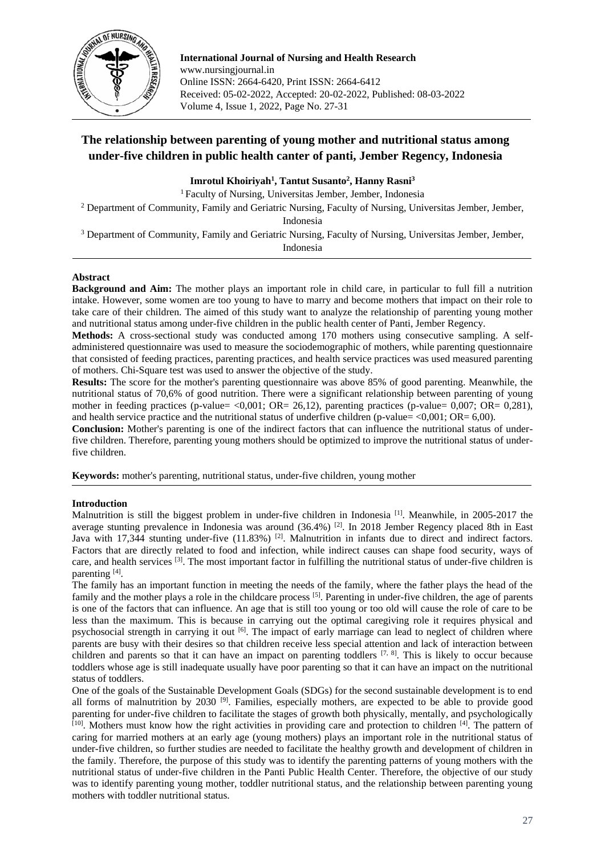

**International Journal of Nursing and Health Research** www.nursingjournal.in Online ISSN: 2664-6420, Print ISSN: 2664-6412 Received: 05-02-2022, Accepted: 20-02-2022, Published: 08-03-2022 Volume 4, Issue 1, 2022, Page No. 27-31

# **The relationship between parenting of young mother and nutritional status among under-five children in public health canter of panti, Jember Regency, Indonesia**

**Imrotul Khoiriyah<sup>1</sup> , Tantut Susanto<sup>2</sup> , Hanny Rasni<sup>3</sup>**

<sup>1</sup> Faculty of Nursing, Universitas Jember, Jember, Indonesia

<sup>2</sup> Department of Community, Family and Geriatric Nursing, Faculty of Nursing, Universitas Jember, Jember,

Indonesia

<sup>3</sup> Department of Community, Family and Geriatric Nursing, Faculty of Nursing, Universitas Jember, Jember,

Indonesia

# **Abstract**

**Background and Aim:** The mother plays an important role in child care, in particular to full fill a nutrition intake. However, some women are too young to have to marry and become mothers that impact on their role to take care of their children. The aimed of this study want to analyze the relationship of parenting young mother and nutritional status among under-five children in the public health center of Panti, Jember Regency.

**Methods:** A cross-sectional study was conducted among 170 mothers using consecutive sampling. A selfadministered questionnaire was used to measure the sociodemographic of mothers, while parenting questionnaire that consisted of feeding practices, parenting practices, and health service practices was used measured parenting of mothers. Chi-Square test was used to answer the objective of the study.

**Results:** The score for the mother's parenting questionnaire was above 85% of good parenting. Meanwhile, the nutritional status of 70,6% of good nutrition. There were a significant relationship between parenting of young mother in feeding practices (p-value= <0,001; OR= 26,12), parenting practices (p-value=  $0.007$ ; OR=  $0.281$ ), and health service practice and the nutritional status of underfive children (p-value=  $< 0.001$ ; OR= 6,00).

**Conclusion:** Mother's parenting is one of the indirect factors that can influence the nutritional status of underfive children. Therefore, parenting young mothers should be optimized to improve the nutritional status of underfive children.

**Keywords:** mother's parenting, nutritional status, under-five children, young mother

# **Introduction**

Malnutrition is still the biggest problem in under-five children in Indonesia  $^{[1]}$ . Meanwhile, in 2005-2017 the average stunting prevalence in Indonesia was around (36.4%) <sup>[2]</sup>. In 2018 Jember Regency placed 8th in East Java with 17,344 stunting under-five  $(11.83%)$  <sup>[2]</sup>. Malnutrition in infants due to direct and indirect factors. Factors that are directly related to food and infection, while indirect causes can shape food security, ways of care, and health services [3]. The most important factor in fulfilling the nutritional status of under-five children is parenting [4].

The family has an important function in meeting the needs of the family, where the father plays the head of the family and the mother plays a role in the childcare process [5]. Parenting in under-five children, the age of parents is one of the factors that can influence. An age that is still too young or too old will cause the role of care to be less than the maximum. This is because in carrying out the optimal caregiving role it requires physical and psychosocial strength in carrying it out <sup>[6]</sup>. The impact of early marriage can lead to neglect of children where parents are busy with their desires so that children receive less special attention and lack of interaction between children and parents so that it can have an impact on parenting toddlers  $[7, 8]$ . This is likely to occur because toddlers whose age is still inadequate usually have poor parenting so that it can have an impact on the nutritional status of toddlers.

One of the goals of the Sustainable Development Goals (SDGs) for the second sustainable development is to end all forms of malnutrition by 2030<sup>[9]</sup>. Families, especially mothers, are expected to be able to provide good parenting for under-five children to facilitate the stages of growth both physically, mentally, and psychologically  $[10]$ . Mothers must know how the right activities in providing care and protection to children  $[4]$ . The pattern of caring for married mothers at an early age (young mothers) plays an important role in the nutritional status of under-five children, so further studies are needed to facilitate the healthy growth and development of children in the family. Therefore, the purpose of this study was to identify the parenting patterns of young mothers with the nutritional status of under-five children in the Panti Public Health Center. Therefore, the objective of our study was to identify parenting young mother, toddler nutritional status, and the relationship between parenting young mothers with toddler nutritional status.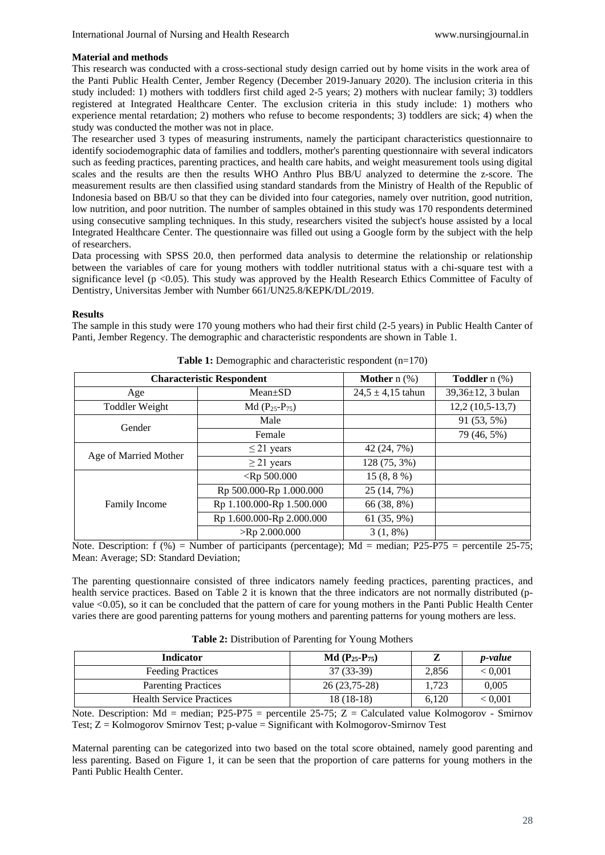# **Material and methods**

This research was conducted with a cross-sectional study design carried out by home visits in the work area of the Panti Public Health Center, Jember Regency (December 2019-January 2020). The inclusion criteria in this study included: 1) mothers with toddlers first child aged 2-5 years; 2) mothers with nuclear family; 3) toddlers registered at Integrated Healthcare Center. The exclusion criteria in this study include: 1) mothers who experience mental retardation; 2) mothers who refuse to become respondents; 3) toddlers are sick; 4) when the study was conducted the mother was not in place.

The researcher used 3 types of measuring instruments, namely the participant characteristics questionnaire to identify sociodemographic data of families and toddlers, mother's parenting questionnaire with several indicators such as feeding practices, parenting practices, and health care habits, and weight measurement tools using digital scales and the results are then the results WHO Anthro Plus BB/U analyzed to determine the z-score. The measurement results are then classified using standard standards from the Ministry of Health of the Republic of Indonesia based on BB/U so that they can be divided into four categories, namely over nutrition, good nutrition, low nutrition, and poor nutrition. The number of samples obtained in this study was 170 respondents determined using consecutive sampling techniques. In this study, researchers visited the subject's house assisted by a local Integrated Healthcare Center. The questionnaire was filled out using a Google form by the subject with the help of researchers.

Data processing with SPSS 20.0, then performed data analysis to determine the relationship or relationship between the variables of care for young mothers with toddler nutritional status with a chi-square test with a significance level (p <0.05). This study was approved by the Health Research Ethics Committee of Faculty of Dentistry, Universitas Jember with Number 661/UN25.8/KEPK/DL/2019.

### **Results**

**Characteristic Respondent Mother** n (%) **Toddler** n (%) Age Mean $\pm$ SD 24,5  $\pm$  4,15 tahun 39,36 $\pm$ 12, 3 bulan Toddler Weight Md  $(P_{25}-P_{75})$  12,2 (10,5-13,7) Gender Male 91 (53, 5%) Female 79 (46, 5%) Age of Married Mother  $\leq$  21 years 42 (24, 7%)  $\geq$  21 years 128 (75, 3%) Family Income  $\langle Rp \overline{500.000}$  15 (8, 8 %) Rp 500.000-Rp 1.000.000 25 (14, 7%)  $Rp 1.100.000-Rp 1.500.000$  66 (38, 8%)  $Rp 1.600.000-Rp 2.000.000$  61 (35, 9%)  $>$ Rp 2.000.000 3 (1, 8%)

**Table 1:** Demographic and characteristic respondent (n=170)

The sample in this study were 170 young mothers who had their first child (2-5 years) in Public Health Canter of

Panti, Jember Regency. The demographic and characteristic respondents are shown in Table 1.

Note. Description: f  $%$  = Number of participants (percentage); Md = median; P25-P75 = percentile 25-75; Mean: Average; SD: Standard Deviation;

The parenting questionnaire consisted of three indicators namely feeding practices, parenting practices, and health service practices. Based on Table 2 it is known that the three indicators are not normally distributed (pvalue <0.05), so it can be concluded that the pattern of care for young mothers in the Panti Public Health Center varies there are good parenting patterns for young mothers and parenting patterns for young mothers are less.

|  |  |  | Table 2: Distribution of Parenting for Young Mothers |  |  |
|--|--|--|------------------------------------------------------|--|--|
|--|--|--|------------------------------------------------------|--|--|

| <b>Indicator</b>                | <b>Md</b> $(P_{25}-P_{75})$ |       | <i>p</i> -value |
|---------------------------------|-----------------------------|-------|-----------------|
| <b>Feeding Practices</b>        | $37(33-39)$                 | 2.856 | < 0.001         |
| <b>Parenting Practices</b>      | 26 (23,75-28)               | 1.723 | 0,005           |
| <b>Health Service Practices</b> | $18(18-18)$                 | 6.120 | < 0.001         |

Note. Description: Md = median; P25-P75 = percentile 25-75;  $Z =$  Calculated value Kolmogorov - Smirnov Test; Z = Kolmogorov Smirnov Test; p-value = Significant with Kolmogorov-Smirnov Test

Maternal parenting can be categorized into two based on the total score obtained, namely good parenting and less parenting. Based on Figure 1, it can be seen that the proportion of care patterns for young mothers in the Panti Public Health Center.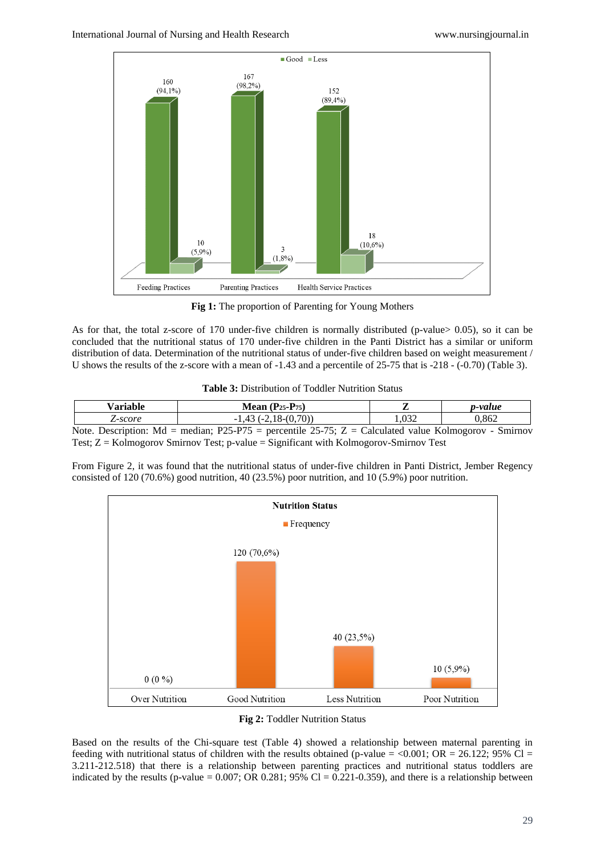

**Fig 1:** The proportion of Parenting for Young Mothers

As for that, the total z-score of 170 under-five children is normally distributed (p-value > 0.05), so it can be concluded that the nutritional status of 170 under-five children in the Panti District has a similar or uniform distribution of data. Determination of the nutritional status of under-five children based on weight measurement / U shows the results of the z-score with a mean of -1.43 and a percentile of 25-75 that is -218 - (-0.70) (Table 3).

**Table 3:** Distribution of Toddler Nutrition Status

| Variable                | <b>Mean</b> $(P_{25}-P_{75})$             |     | p-value                                         |
|-------------------------|-------------------------------------------|-----|-------------------------------------------------|
| <i>L</i> -score         | $(18-(0.70))$<br>$\sim$ $\sim$            | በ30 | .862                                            |
| Note<br>Description: Md | $-$ median: P25-P75 $-$ percentile 25-75; |     | $\zeta$ – Calculated value Kolmogorov - Smirnov |

Description: Md = median; P25-P75 = percentile 25-75;  $Z =$  Calculated value Kolmogorov - Smirnov Test; Z = Kolmogorov Smirnov Test; p-value = Significant with Kolmogorov-Smirnov Test

From Figure 2, it was found that the nutritional status of under-five children in Panti District, Jember Regency consisted of 120 (70.6%) good nutrition, 40 (23.5%) poor nutrition, and 10 (5.9%) poor nutrition.



**Fig 2:** Toddler Nutrition Status

Based on the results of the Chi-square test (Table 4) showed a relationship between maternal parenting in feeding with nutritional status of children with the results obtained (p-value =  $< 0.001$ ; OR = 26.122; 95% Cl = 3.211-212.518) that there is a relationship between parenting practices and nutritional status toddlers are indicated by the results (p-value =  $0.007$ ; OR 0.281; 95% Cl = 0.221-0.359), and there is a relationship between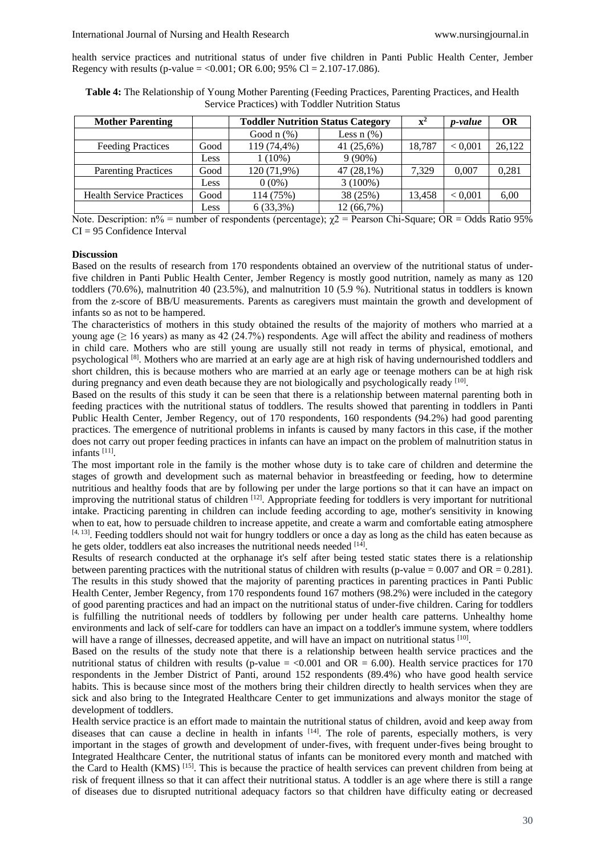health service practices and nutritional status of under five children in Panti Public Health Center, Jember Regency with results (p-value =  $< 0.001$ ; OR 6.00; 95% Cl = 2.107-17.086).

**Table 4:** The Relationship of Young Mother Parenting (Feeding Practices, Parenting Practices, and Health Service Practices) with Toddler Nutrition Status

| <b>Mother Parenting</b>         |      | <b>Toddler Nutrition Status Category</b> |                 | $\mathbf{x}^2$ | <i>p</i> -value | <b>OR</b> |
|---------------------------------|------|------------------------------------------|-----------------|----------------|-----------------|-----------|
|                                 |      | Good $n$ $(\%)$                          | Less $n$ $(\%)$ |                |                 |           |
| <b>Feeding Practices</b>        | Good | 119 (74,4%)                              | 41 $(25,6\%)$   | 18,787         | < 0.001         | 26,122    |
|                                 | Less | $(10\%)$                                 | $9(90\%)$       |                |                 |           |
| <b>Parenting Practices</b>      | Good | 120 (71,9%)                              | $47(28,1\%)$    | 7.329          | 0.007           | 0,281     |
|                                 | Less | $0(0\%)$                                 | $3(100\%)$      |                |                 |           |
| <b>Health Service Practices</b> | Good | 114 (75%)                                | 38 (25%)        | 13.458         | ${}< 0.001$     | 6,00      |
|                                 | Less | 6(33,3%)                                 | 12 (66,7%)      |                |                 |           |

Note. Description:  $n% =$  number of respondents (percentage);  $\gamma =$  Pearson Chi-Square; OR = Odds Ratio 95%  $CI = 95$  Confidence Interval

#### **Discussion**

Based on the results of research from 170 respondents obtained an overview of the nutritional status of underfive children in Panti Public Health Center, Jember Regency is mostly good nutrition, namely as many as 120 toddlers (70.6%), malnutrition 40 (23.5%), and malnutrition 10 (5.9 %). Nutritional status in toddlers is known from the z-score of BB/U measurements. Parents as caregivers must maintain the growth and development of infants so as not to be hampered.

The characteristics of mothers in this study obtained the results of the majority of mothers who married at a young age ( $\geq 16$  years) as many as 42 (24.7%) respondents. Age will affect the ability and readiness of mothers in child care. Mothers who are still young are usually still not ready in terms of physical, emotional, and psychological [8]. Mothers who are married at an early age are at high risk of having undernourished toddlers and short children, this is because mothers who are married at an early age or teenage mothers can be at high risk during pregnancy and even death because they are not biologically and psychologically ready  $^{[10]}$ .

Based on the results of this study it can be seen that there is a relationship between maternal parenting both in feeding practices with the nutritional status of toddlers. The results showed that parenting in toddlers in Panti Public Health Center, Jember Regency, out of 170 respondents, 160 respondents (94.2%) had good parenting practices. The emergence of nutritional problems in infants is caused by many factors in this case, if the mother does not carry out proper feeding practices in infants can have an impact on the problem of malnutrition status in infants [11] .

The most important role in the family is the mother whose duty is to take care of children and determine the stages of growth and development such as maternal behavior in breastfeeding or feeding, how to determine nutritious and healthy foods that are by following per under the large portions so that it can have an impact on improving the nutritional status of children  $[12]$ . Appropriate feeding for toddlers is very important for nutritional intake. Practicing parenting in children can include feeding according to age, mother's sensitivity in knowing when to eat, how to persuade children to increase appetite, and create a warm and comfortable eating atmosphere  $[4, 13]$ . Feeding toddlers should not wait for hungry toddlers or once a day as long as the child has eaten because as he gets older, toddlers eat also increases the nutritional needs needed [14].

Results of research conducted at the orphanage it's self after being tested static states there is a relationship between parenting practices with the nutritional status of children with results (p-value  $= 0.007$  and  $OR = 0.281$ ). The results in this study showed that the majority of parenting practices in parenting practices in Panti Public Health Center, Jember Regency, from 170 respondents found 167 mothers (98.2%) were included in the category of good parenting practices and had an impact on the nutritional status of under-five children. Caring for toddlers is fulfilling the nutritional needs of toddlers by following per under health care patterns. Unhealthy home environments and lack of self-care for toddlers can have an impact on a toddler's immune system, where toddlers will have a range of illnesses, decreased appetite, and will have an impact on nutritional status  $^{[10]}$ .

Based on the results of the study note that there is a relationship between health service practices and the nutritional status of children with results (p-value =  $< 0.001$  and OR = 6.00). Health service practices for 170 respondents in the Jember District of Panti, around 152 respondents (89.4%) who have good health service habits. This is because since most of the mothers bring their children directly to health services when they are sick and also bring to the Integrated Healthcare Center to get immunizations and always monitor the stage of development of toddlers.

Health service practice is an effort made to maintain the nutritional status of children, avoid and keep away from diseases that can cause a decline in health in infants [14]. The role of parents, especially mothers, is very important in the stages of growth and development of under-fives, with frequent under-fives being brought to Integrated Healthcare Center, the nutritional status of infants can be monitored every month and matched with the Card to Health (KMS)<sup>[15]</sup>. This is because the practice of health services can prevent children from being at risk of frequent illness so that it can affect their nutritional status. A toddler is an age where there is still a range of diseases due to disrupted nutritional adequacy factors so that children have difficulty eating or decreased